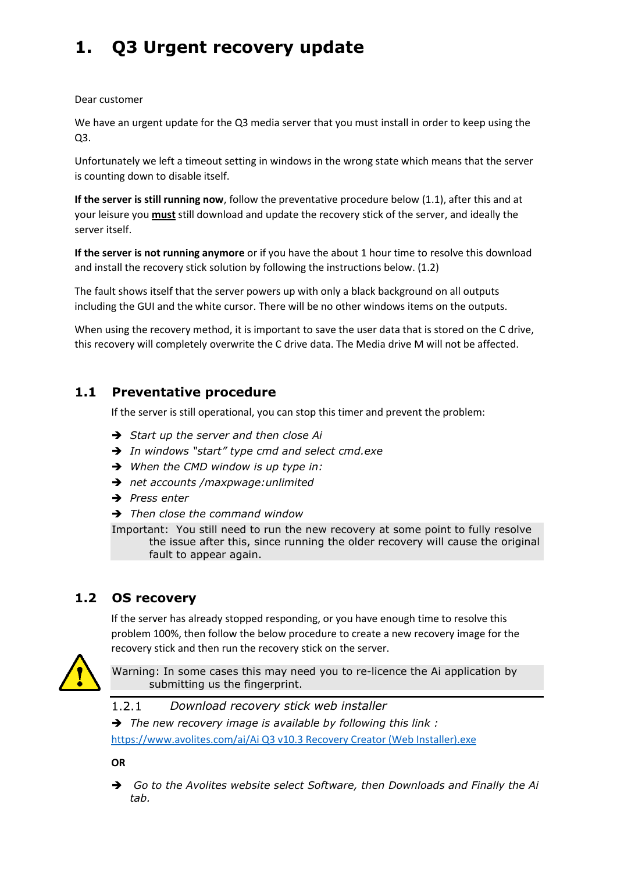# **1. Q3 Urgent recovery update**

Dear customer

We have an urgent update for the Q3 media server that you must install in order to keep using the Q3.

Unfortunately we left a timeout setting in windows in the wrong state which means that the server is counting down to disable itself.

**If the server is still running now**, follow the preventative procedure below (1.1), after this and at your leisure you **must** still download and update the recovery stick of the server, and ideally the server itself.

**If the server is not running anymore** or if you have the about 1 hour time to resolve this download and install the recovery stick solution by following the instructions below. (1.2)

The fault shows itself that the server powers up with only a black background on all outputs including the GUI and the white cursor. There will be no other windows items on the outputs.

When using the recovery method, it is important to save the user data that is stored on the C drive, this recovery will completely overwrite the C drive data. The Media drive M will not be affected.

### **1.1 Preventative procedure**

If the server is still operational, you can stop this timer and prevent the problem:

- *Start up the server and then close Ai*
- *In windows "start" type cmd and select cmd.exe*
- *When the CMD window is up type in:*
- *net accounts /maxpwage:unlimited*
- *Press enter*
- *Then close the command window*

Important: You still need to run the new recovery at some point to fully resolve the issue after this, since running the older recovery will cause the original fault to appear again.

## **1.2 OS recovery**

If the server has already stopped responding, or you have enough time to resolve this problem 100%, then follow the below procedure to create a new recovery image for the recovery stick and then run the recovery stick on the server.



Warning: In some cases this may need you to re-licence the Ai application by submitting us the fingerprint.

 $1.2.1$ *Download recovery stick web installer*

 *The new recovery image is available by following this link :*  [https://www.avolites.com/ai/Ai Q3 v10.3 Recovery Creator \(Web Installer\).exe](https://www.avolites.com/ai/Ai%20Q3%20v10.3%20Recovery%20Creator%20(Web%20Installer).exe)

**OR**

 *Go to the Avolites website select Software, then Downloads and Finally the Ai tab.*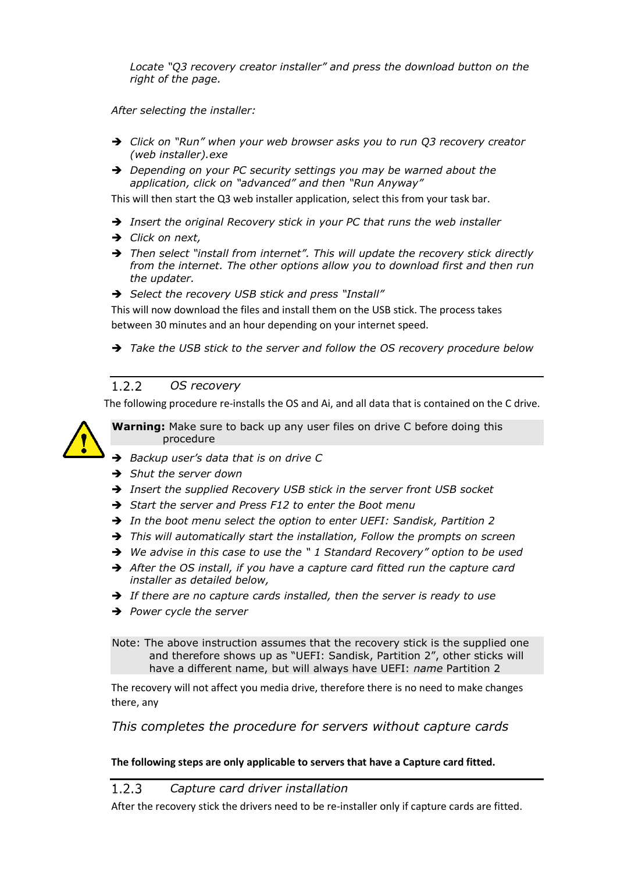*Locate "Q3 recovery creator installer" and press the download button on the right of the page.* 

*After selecting the installer:*

- *Click on "Run" when your web browser asks you to run Q3 recovery creator (web installer).exe*
- *Depending on your PC security settings you may be warned about the application, click on "advanced" and then "Run Anyway"*

This will then start the Q3 web installer application, select this from your task bar.

- *Insert the original Recovery stick in your PC that runs the web installer*
- *Click on next,*
- *Then select "install from internet". This will update the recovery stick directly from the internet. The other options allow you to download first and then run the updater.*
- $\rightarrow$  *Select the recovery USB stick and press "Install"*

This will now download the files and install them on the USB stick. The process takes between 30 minutes and an hour depending on your internet speed.

*Take the USB stick to the server and follow the OS recovery procedure below*

#### $1.2.2$ *OS recovery*

The following procedure re-installs the OS and Ai, and all data that is contained on the C drive.

**Warning:** Make sure to back up any user files on drive C before doing this procedure

- *Backup user's data that is on drive C*
- *Shut the server down*
- *Insert the supplied Recovery USB stick in the server front USB socket*
- *Start the server and Press F12 to enter the Boot menu*
- *In the boot menu select the option to enter UEFI: Sandisk, Partition 2*
- *This will automatically start the installation, Follow the prompts on screen*
- *We advise in this case to use the " 1 Standard Recovery" option to be used*
- *After the OS install, if you have a capture card fitted run the capture card installer as detailed below,*
- *If there are no capture cards installed, then the server is ready to use*
- *Power cycle the server*

Note: The above instruction assumes that the recovery stick is the supplied one and therefore shows up as "UEFI: Sandisk, Partition 2", other sticks will have a different name, but will always have UEFI: *name* Partition 2

The recovery will not affect you media drive, therefore there is no need to make changes there, any

*This completes the procedure for servers without capture cards*

### **The following steps are only applicable to servers that have a Capture card fitted.**

#### $1.2.3$ *Capture card driver installation*

After the recovery stick the drivers need to be re-installer only if capture cards are fitted.